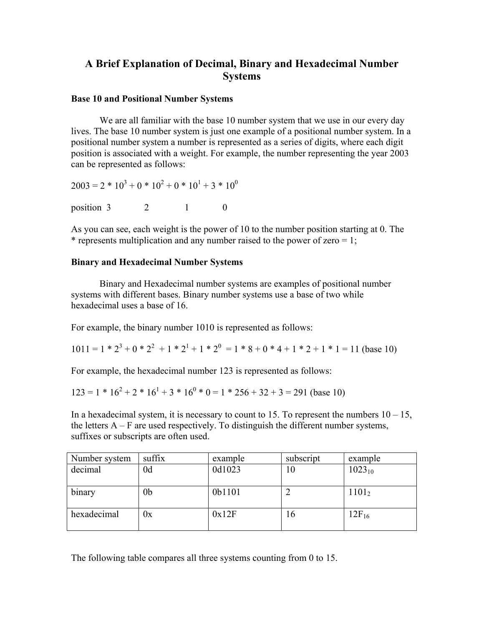## **A Brief Explanation of Decimal, Binary and Hexadecimal Number Systems**

## **Base 10 and Positional Number Systems**

We are all familiar with the base 10 number system that we use in our every day lives. The base 10 number system is just one example of a positional number system. In a positional number system a number is represented as a series of digits, where each digit position is associated with a weight. For example, the number representing the year 2003 can be represented as follows:

$$
2003 = 2 * 103 + 0 * 102 + 0 * 101 + 3 * 100
$$

position  $3 \t 2 \t 1 \t 0$ 

As you can see, each weight is the power of 10 to the number position starting at 0. The \* represents multiplication and any number raised to the power of zero  $= 1$ ;

## **Binary and Hexadecimal Number Systems**

Binary and Hexadecimal number systems are examples of positional number systems with different bases. Binary number systems use a base of two while hexadecimal uses a base of 16.

For example, the binary number 1010 is represented as follows:

 $1011 = 1 * 2<sup>3</sup> + 0 * 2<sup>2</sup> + 1 * 2<sup>1</sup> + 1 * 2<sup>0</sup> = 1 * 8 + 0 * 4 + 1 * 2 + 1 * 1 = 11$  (base 10)

For example, the hexadecimal number 123 is represented as follows:

$$
123 = 1 * 162 + 2 * 161 + 3 * 160 * 0 = 1 * 256 + 32 + 3 = 291
$$
 (base 10)

In a hexadecimal system, it is necessary to count to 15. To represent the numbers  $10 - 15$ , the letters  $A - F$  are used respectively. To distinguish the different number systems, suffixes or subscripts are often used.

| Number system | suffix | example | subscript | example           |
|---------------|--------|---------|-----------|-------------------|
| decimal       | 0d     | 0d1023  | 10        | $1023_{10}$       |
|               |        |         |           |                   |
| binary        | 0b     | 0b1101  |           | 1101 <sub>2</sub> |
|               |        |         |           |                   |
| hexadecimal   | Jх     | 0x12F   | 16        | $12F_{16}$        |
|               |        |         |           |                   |

The following table compares all three systems counting from 0 to 15.